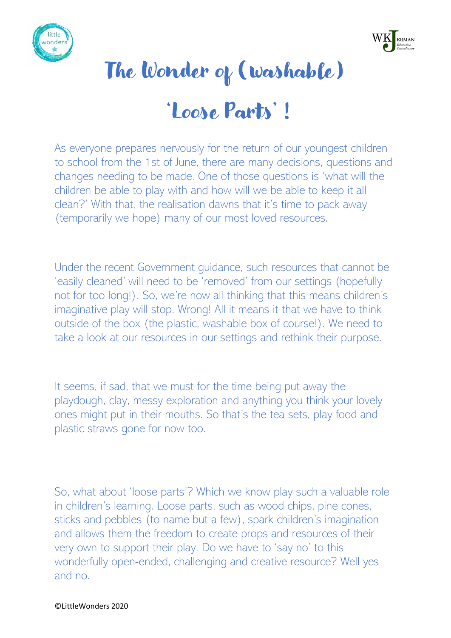



## The Wonder of (washable)

## 'Loose Parts' !

As everyone prepares nervously for the return of our youngest children to school from the 1st of June, there are many decisions, questions and changes needing to be made. One of those questions is 'what will the children be able to play with and how will we be able to keep it all clean?' With that, the realisation dawns that it's time to pack away (temporarily we hope) many of our most loved resources.

Under the recent Government guidance, such resources that cannot be 'easily cleaned' will need to be 'removed' from our settings (hopefully not for too long!). So, we're now all thinking that this means children's imaginative play will stop. Wrong! All it means it that we have to think outside of the box (the plastic, washable box of course!). We need to take a look at our resources in our settings and rethink their purpose.

It seems, if sad, that we must for the time being put away the playdough, clay, messy exploration and anything you think your lovely ones might put in their mouths. So that's the tea sets, play food and plastic straws gone for now too.

So, what about 'loose parts'? Which we know play such a valuable role in children's learning. Loose parts, such as wood chips, pine cones, sticks and pebbles (to name but a few), spark children's imagination and allows them the freedom to create props and resources of their very own to support their play. Do we have to 'say no' to this wonderfully open-ended, challenging and creative resource? Well yes and no.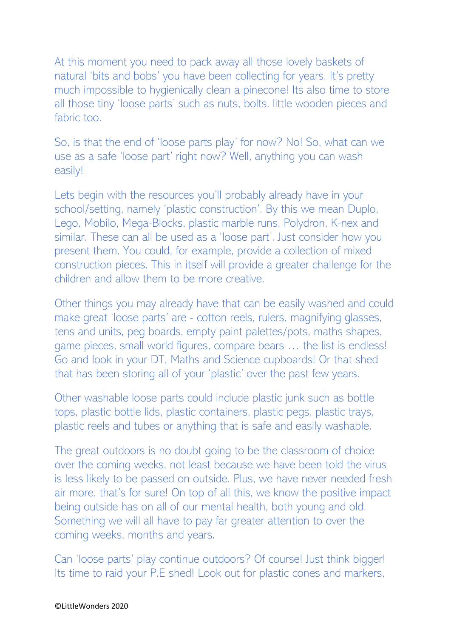At this moment you need to pack away all those lovely baskets of natural 'bits and bobs' you have been collecting for years. It's pretty much impossible to hygienically clean a pinecone! Its also time to store all those tiny 'loose parts' such as nuts, bolts, little wooden pieces and fabric too.

So, is that the end of 'loose parts play' for now? No! So, what can we use as a safe 'loose part' right now? Well, anything you can wash easily!

Lets begin with the resources you'll probably already have in your school/setting, namely 'plastic construction'. By this we mean Duplo, Lego, Mobilo, Mega-Blocks, plastic marble runs, Polydron, K-nex and similar. These can all be used as a 'loose part'. Just consider how you present them. You could, for example, provide a collection of mixed construction pieces. This in itself will provide a greater challenge for the children and allow them to be more creative.

Other things you may already have that can be easily washed and could make great 'loose parts' are - cotton reels, rulers, magnifying glasses, tens and units, peg boards, empty paint palettes/pots, maths shapes, game pieces, small world figures, compare bears … the list is endless! Go and look in your DT, Maths and Science cupboards! Or that shed that has been storing all of your 'plastic' over the past few years.

Other washable loose parts could include plastic junk such as bottle tops, plastic bottle lids, plastic containers, plastic pegs, plastic trays, plastic reels and tubes or anything that is safe and easily washable.

The great outdoors is no doubt going to be the classroom of choice over the coming weeks, not least because we have been told the virus is less likely to be passed on outside. Plus, we have never needed fresh air more, that's for sure! On top of all this, we know the positive impact being outside has on all of our mental health, both young and old. Something we will all have to pay far greater attention to over the coming weeks, months and years.

Can 'loose parts' play continue outdoors? Of course! Just think bigger! Its time to raid your P.E shed! Look out for plastic cones and markers,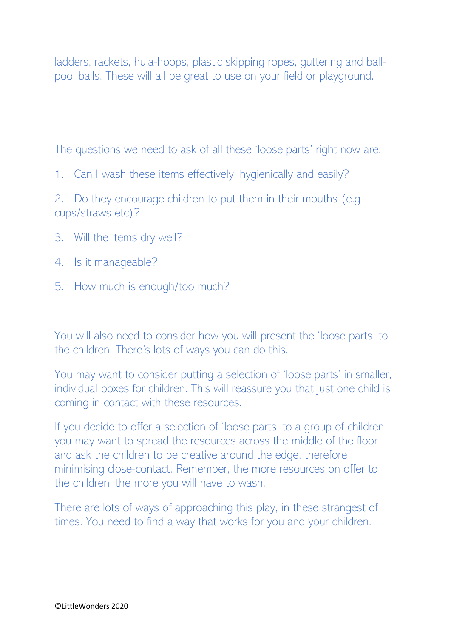ladders, rackets, hula-hoops, plastic skipping ropes, guttering and ballpool balls. These will all be great to use on your field or playground.

The questions we need to ask of all these 'loose parts' right now are:

1. Can I wash these items effectively, hygienically and easily?

2. Do they encourage children to put them in their mouths (e.g cups/straws etc)?

- 3. Will the items dry well?
- 4. Is it manageable?
- 5. How much is enough/too much?

You will also need to consider how you will present the 'loose parts' to the children. There's lots of ways you can do this.

You may want to consider putting a selection of 'loose parts' in smaller, individual boxes for children. This will reassure you that just one child is coming in contact with these resources.

If you decide to offer a selection of 'loose parts' to a group of children you may want to spread the resources across the middle of the floor and ask the children to be creative around the edge, therefore minimising close-contact. Remember, the more resources on offer to the children, the more you will have to wash.

There are lots of ways of approaching this play, in these strangest of times. You need to find a way that works for you and your children.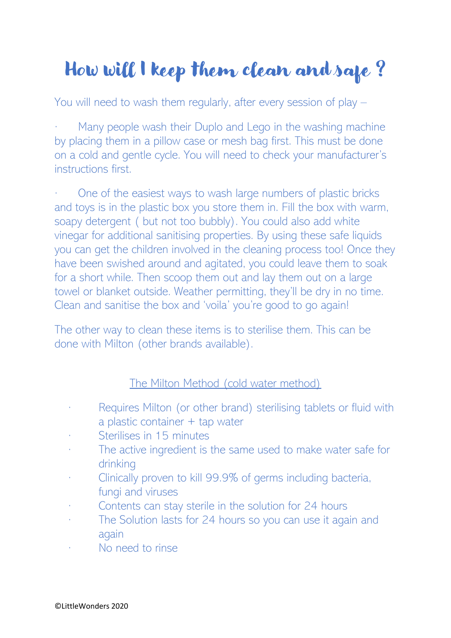## How will I keep them clean and safe ?

You will need to wash them regularly, after every session of play –

Many people wash their Duplo and Lego in the washing machine by placing them in a pillow case or mesh bag first. This must be done on a cold and gentle cycle. You will need to check your manufacturer's instructions first.

One of the easiest ways to wash large numbers of plastic bricks and toys is in the plastic box you store them in. Fill the box with warm, soapy detergent ( but not too bubbly). You could also add white vinegar for additional sanitising properties. By using these safe liquids you can get the children involved in the cleaning process too! Once they have been swished around and agitated, you could leave them to soak for a short while. Then scoop them out and lay them out on a large towel or blanket outside. Weather permitting, they'll be dry in no time. Clean and sanitise the box and 'voila' you're good to go again!

The other way to clean these items is to sterilise them. This can be done with Milton (other brands available).

## The Milton Method (cold water method)

- · Requires Milton (or other brand) sterilising tablets or fluid with a plastic container + tap water
- · Sterilises in 15 minutes
- · The active ingredient is the same used to make water safe for drinking
- · Clinically proven to kill 99.9% of germs including bacteria, fungi and viruses
- · Contents can stay sterile in the solution for 24 hours
- · The Solution lasts for 24 hours so you can use it again and again
- No need to rinse